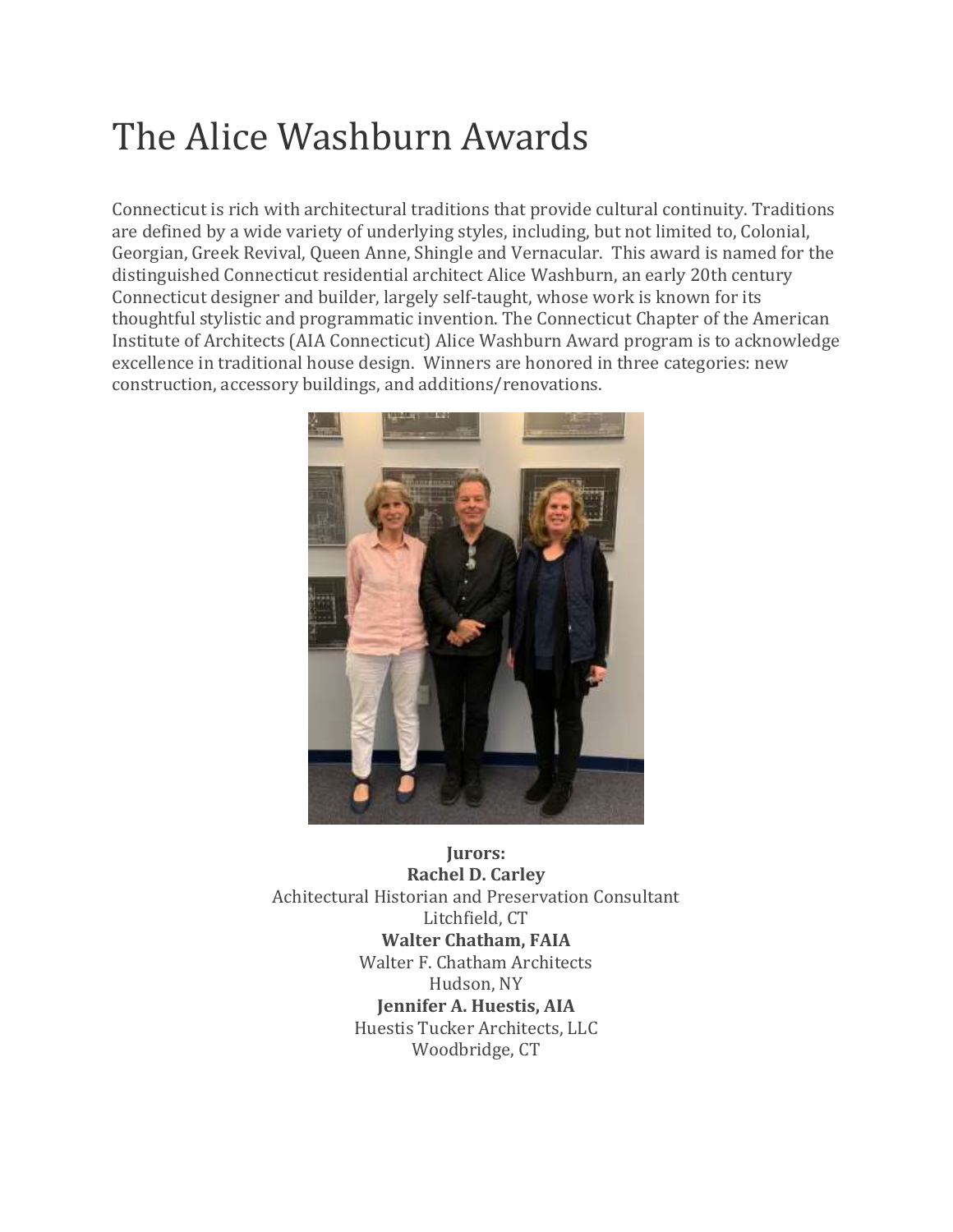# The Alice Washburn Awards

Connecticut is rich with architectural traditions that provide cultural continuity. Traditions are defined by a wide variety of underlying styles, including, but not limited to, Colonial, Georgian, Greek Revival, Queen Anne, Shingle and Vernacular. This award is named for the distinguished Connecticut residential architect Alice Washburn, an early 20th century Connecticut designer and builder, largely self-taught, whose work is known for its thoughtful stylistic and programmatic invention. The Connecticut Chapter of the American Institute of Architects (AIA Connecticut) Alice Washburn Award program is to acknowledge excellence in traditional house design. Winners are honored in three categories: new construction, accessory buildings, and additions/renovations.



**Jurors: Rachel D. Carley** Achitectural Historian and Preservation Consultant Litchfield, CT **Walter Chatham, FAIA** Walter F. Chatham Architects Hudson, NY **Jennifer A. Huestis, AIA** Huestis Tucker Architects, LLC Woodbridge, CT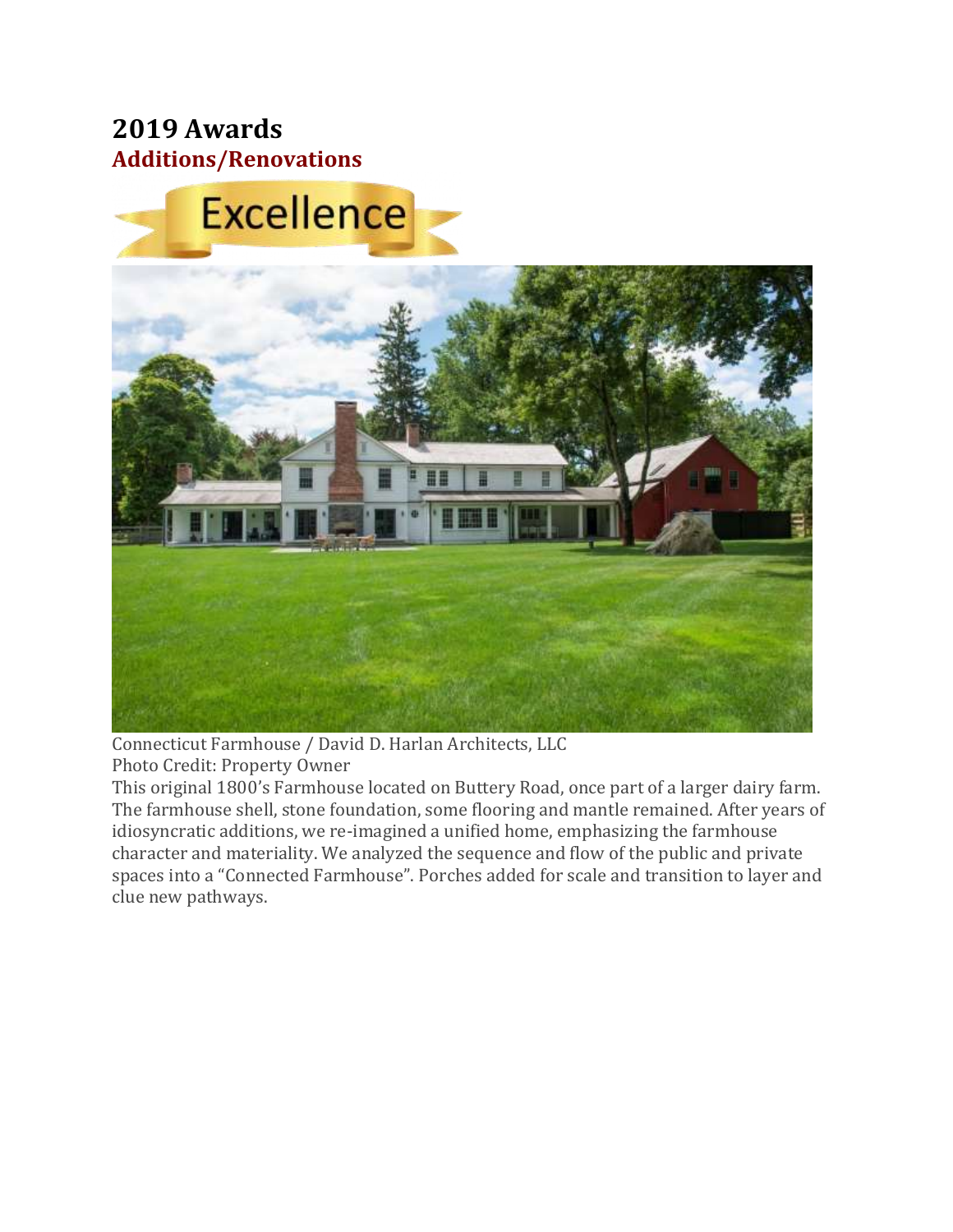### **2019 Awards Additions/Renovations**





Connecticut Farmhouse / David D. Harlan Architects, LLC Photo Credit: Property Owner

This original 1800's Farmhouse located on Buttery Road, once part of a larger dairy farm. The farmhouse shell, stone foundation, some flooring and mantle remained. After years of idiosyncratic additions, we re-imagined a unified home, emphasizing the farmhouse character and materiality. We analyzed the sequence and flow of the public and private spaces into a "Connected Farmhouse". Porches added for scale and transition to layer and clue new pathways.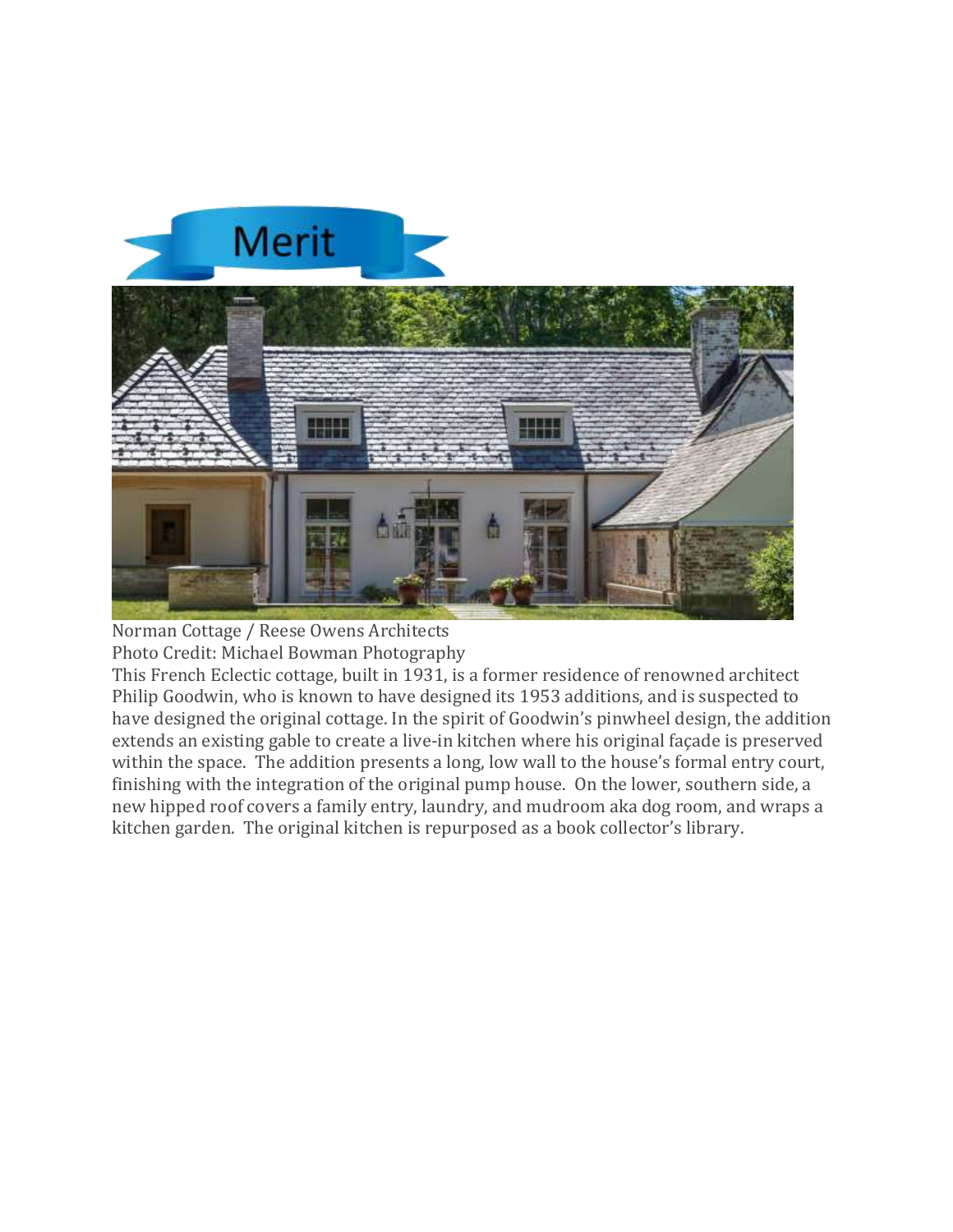



Norman Cottage / Reese Owens Architects Photo Credit: Michael Bowman Photography

This French Eclectic cottage, built in 1931, is a former residence of renowned architect Philip Goodwin, who is known to have designed its 1953 additions, and is suspected to have designed the original cottage. In the spirit of Goodwin's pinwheel design, the addition extends an existing gable to create a live-in kitchen where his original façade is preserved within the space. The addition presents a long, low wall to the house's formal entry court, finishing with the integration of the original pump house. On the lower, southern side, a new hipped roof covers a family entry, laundry, and mudroom aka dog room, and wraps a kitchen garden. The original kitchen is repurposed as a book collector's library.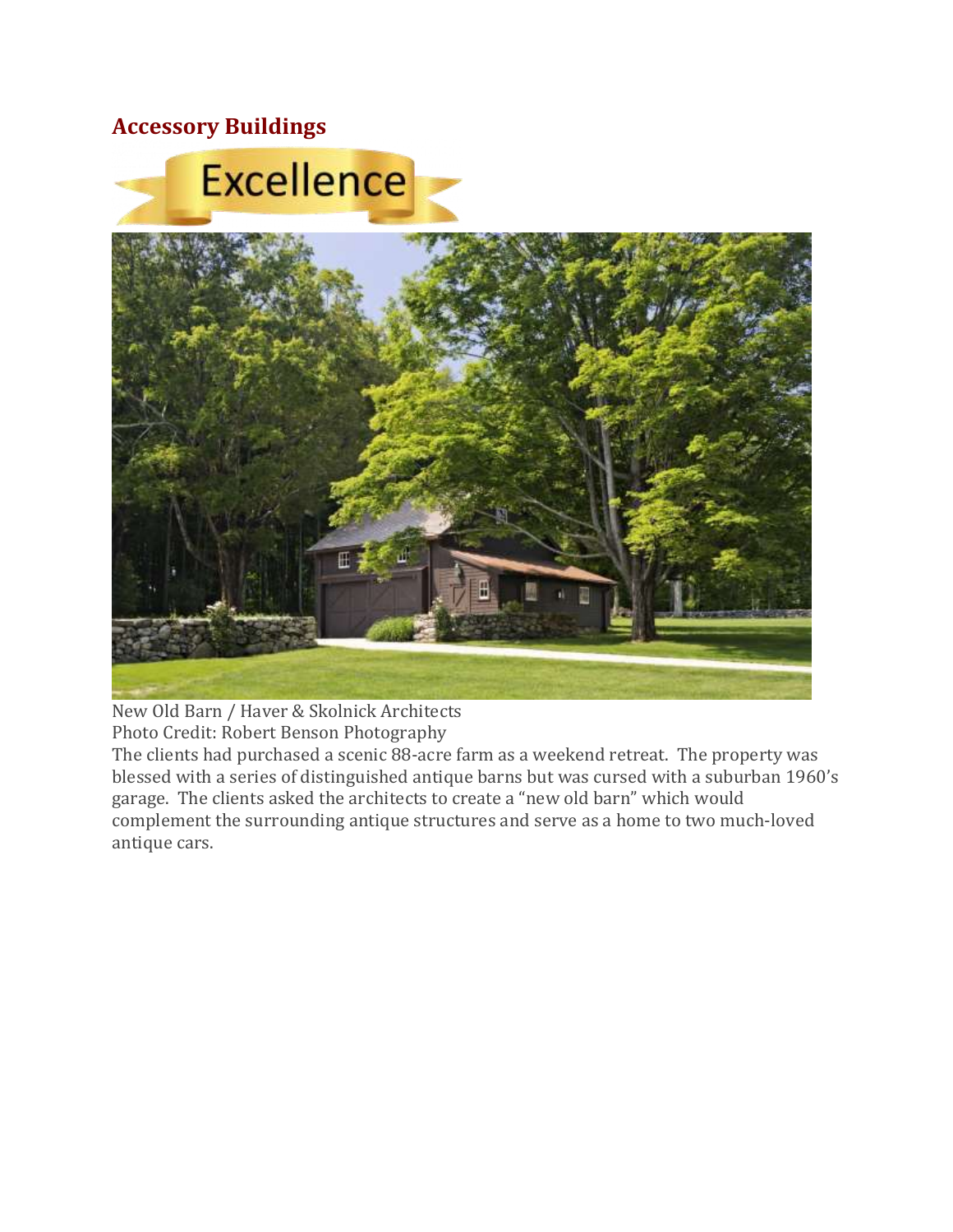#### **Accessory Buildings**



New Old Barn / Haver & Skolnick Architects Photo Credit: Robert Benson Photography

The clients had purchased a scenic 88-acre farm as a weekend retreat. The property was blessed with a series of distinguished antique barns but was cursed with a suburban 1960's garage. The clients asked the architects to create a "new old barn" which would complement the surrounding antique structures and serve as a home to two much-loved antique cars.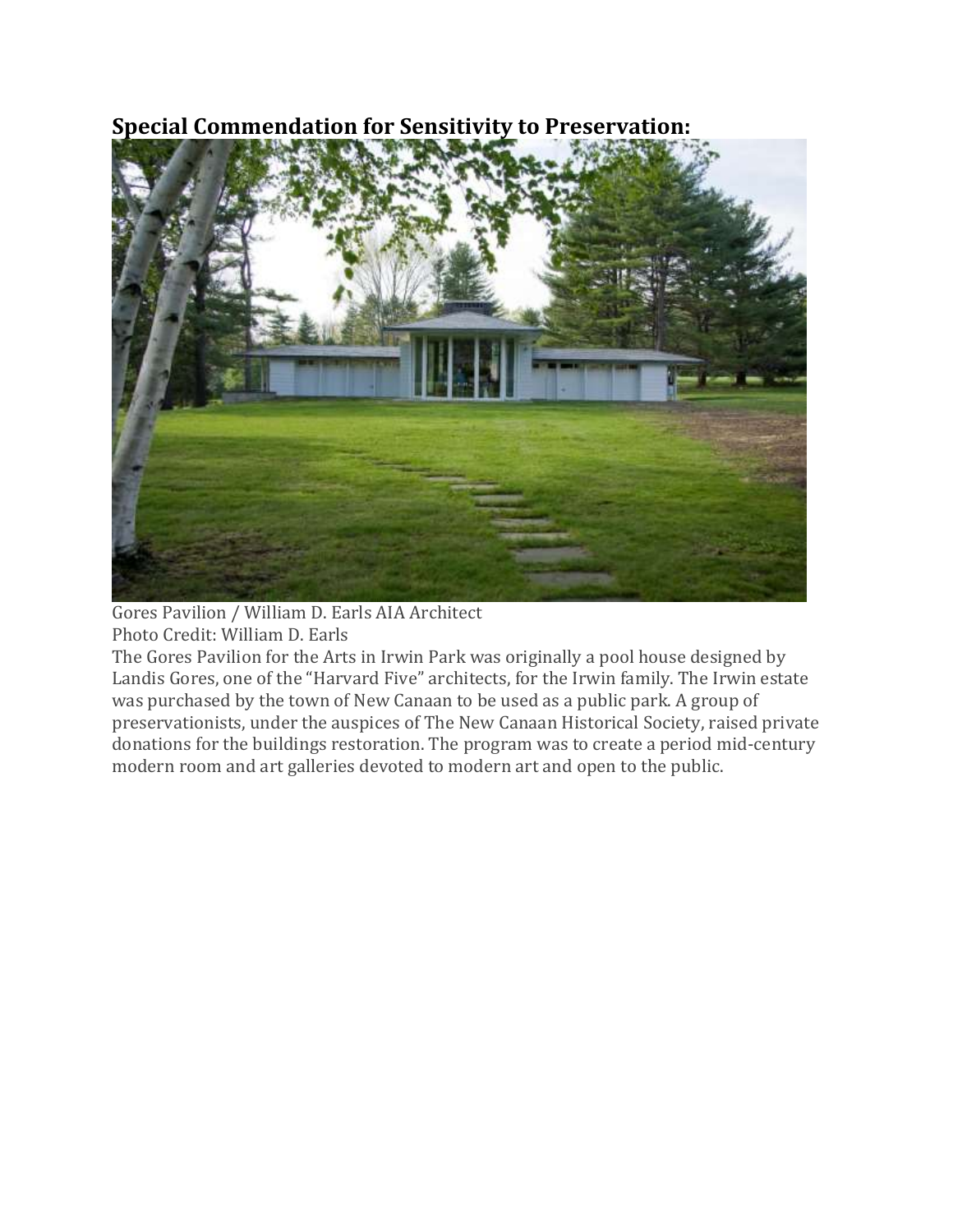## **Special Commendation for Sensitivity to Preservation:**



Gores Pavilion / William D. Earls AIA Architect Photo Credit: William D. Earls

The Gores Pavilion for the Arts in Irwin Park was originally a pool house designed by Landis Gores, one of the "Harvard Five" architects, for the Irwin family. The Irwin estate was purchased by the town of New Canaan to be used as a public park. A group of preservationists, under the auspices of The New Canaan Historical Society, raised private donations for the buildings restoration. The program was to create a period mid-century modern room and art galleries devoted to modern art and open to the public.